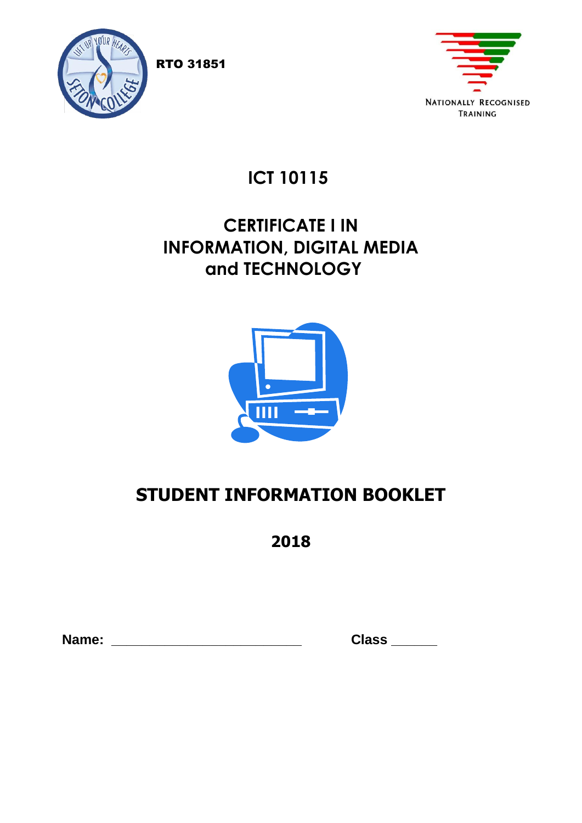

**NATIONALLY RECOGNISED** TRAINING

 **ICT 10115**

## **CERTIFICATE I IN INFORMATION, DIGITAL MEDIA and TECHNOLOGY**



# **STUDENT INFORMATION BOOKLET**

**2018**

 **Name: \_\_\_\_\_\_\_\_\_\_\_\_\_\_\_\_\_\_\_\_\_\_\_\_\_ Class \_\_\_\_\_\_**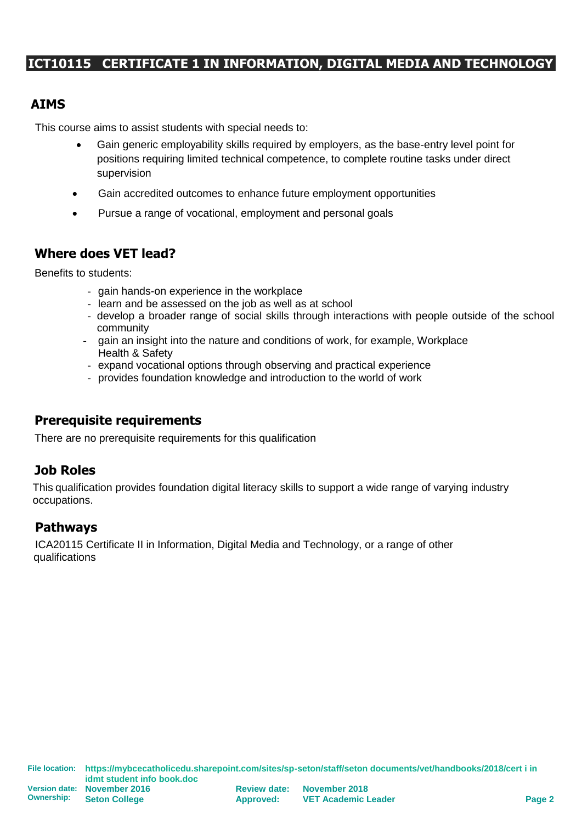## **ICT10115 CERTIFICATE 1 IN INFORMATION, DIGITAL MEDIA AND TECHNOLOGY**

### **AIMS**

This course aims to assist students with special needs to:

- Gain generic employability skills required by employers, as the base-entry level point for positions requiring limited technical competence, to complete routine tasks under direct supervision
- Gain accredited outcomes to enhance future employment opportunities
- Pursue a range of vocational, employment and personal goals

## **Where does VET lead?**

Benefits to students:

- gain hands-on experience in the workplace
- learn and be assessed on the job as well as at school
- develop a broader range of social skills through interactions with people outside of the school community
- gain an insight into the nature and conditions of work, for example, Workplace Health & Safety
- expand vocational options through observing and practical experience
- provides foundation knowledge and introduction to the world of work

## **Prerequisite requirements**

There are no prerequisite requirements for this qualification

## **Job Roles**

This qualification provides foundation digital literacy skills to support a wide range of varying industry occupations.

## **Pathways**

ICA20115 Certificate II in Information, Digital Media and Technology, or a range of other qualifications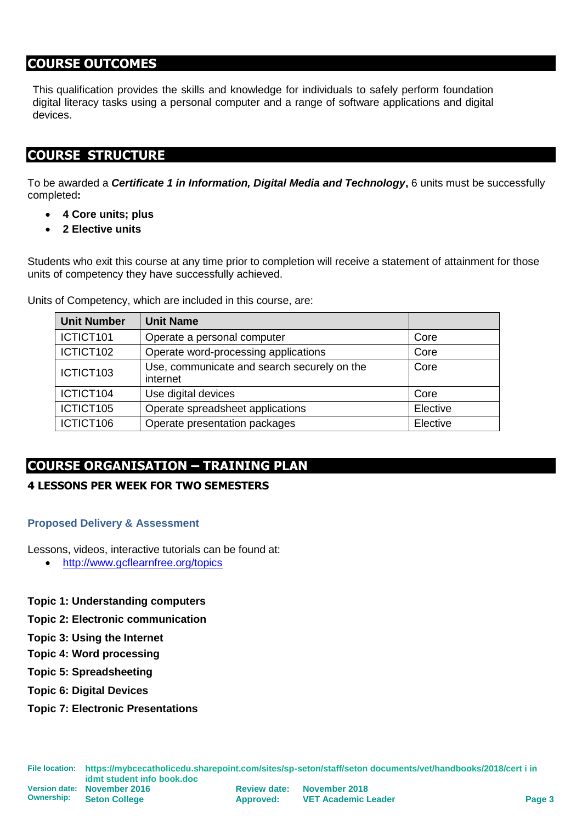## **COURSE OUTCOMES**

This qualification provides the skills and knowledge for individuals to safely perform foundation digital literacy tasks using a personal computer and a range of software applications and digital devices.

## **COURSE STRUCTURE**

To be awarded a *Certificate 1 in Information, Digital Media and Technology***,** 6 units must be successfully completed**:**

- **4 Core units; plus**
- **2 Elective units**

Students who exit this course at any time prior to completion will receive a statement of attainment for those units of competency they have successfully achieved.

Units of Competency, which are included in this course, are:

| <b>Unit Number</b> | <b>Unit Name</b>                                        |          |
|--------------------|---------------------------------------------------------|----------|
| ICTICT101          | Operate a personal computer                             | Core     |
| ICTICT102          | Operate word-processing applications                    | Core     |
| ICTICT103          | Use, communicate and search securely on the<br>internet | Core     |
| ICTICT104          | Use digital devices                                     | Core     |
| ICTICT105          | Operate spreadsheet applications                        | Elective |
| ICTICT106          | Operate presentation packages                           | Elective |

## **COURSE ORGANISATION – TRAINING PLAN**

#### **4 LESSONS PER WEEK FOR TWO SEMESTERS**

#### **Proposed Delivery & Assessment**

Lessons, videos, interactive tutorials can be found at:

• <http://www.gcflearnfree.org/topics>

**Topic 1: Understanding computers**

- **Topic 2: Electronic communication**
- **Topic 3: Using the Internet**
- **Topic 4: Word processing**
- **Topic 5: Spreadsheeting**
- **Topic 6: Digital Devices**
- **Topic 7: Electronic Presentations**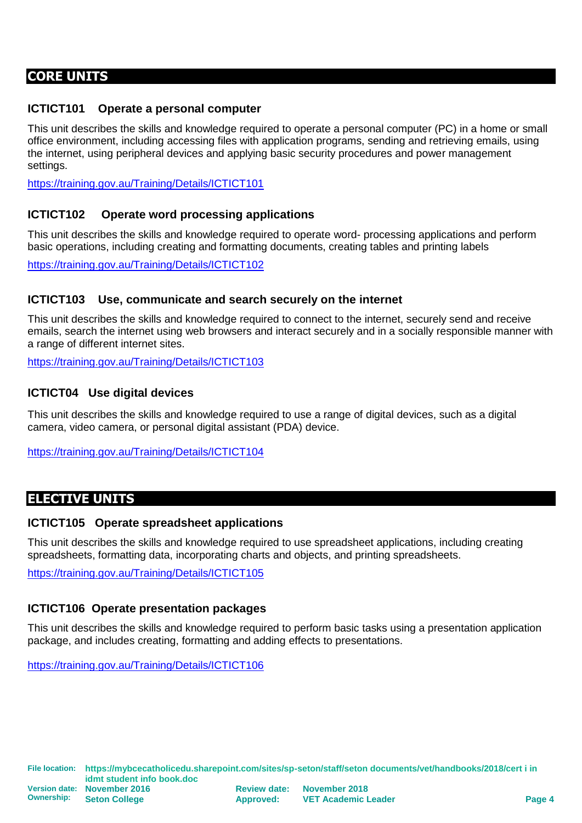## **CORE UNITS**

#### **ICTICT101 Operate a personal computer**

This unit describes the skills and knowledge required to operate a personal computer (PC) in a home or small office environment, including accessing files with application programs, sending and retrieving emails, using the internet, using peripheral devices and applying basic security procedures and power management settings.

<https://training.gov.au/Training/Details/ICTICT101>

#### **ICTICT102 Operate word processing applications**

This unit describes the skills and knowledge required to operate word- processing applications and perform basic operations, including creating and formatting documents, creating tables and printing labels

<https://training.gov.au/Training/Details/ICTICT102>

#### **ICTICT103 Use, communicate and search securely on the internet**

This unit describes the skills and knowledge required to connect to the internet, securely send and receive emails, search the internet using web browsers and interact securely and in a socially responsible manner with a range of different internet sites.

<https://training.gov.au/Training/Details/ICTICT103>

#### **ICTICT04 Use digital devices**

This unit describes the skills and knowledge required to use a range of digital devices, such as a digital camera, video camera, or personal digital assistant (PDA) device.

<https://training.gov.au/Training/Details/ICTICT104>

## **ELECTIVE UNITS**

#### **ICTICT105 Operate spreadsheet applications**

This unit describes the skills and knowledge required to use spreadsheet applications, including creating spreadsheets, formatting data, incorporating charts and objects, and printing spreadsheets.

<https://training.gov.au/Training/Details/ICTICT105>

#### **ICTICT106 Operate presentation packages**

This unit describes the skills and knowledge required to perform basic tasks using a presentation application package, and includes creating, formatting and adding effects to presentations.

<https://training.gov.au/Training/Details/ICTICT106>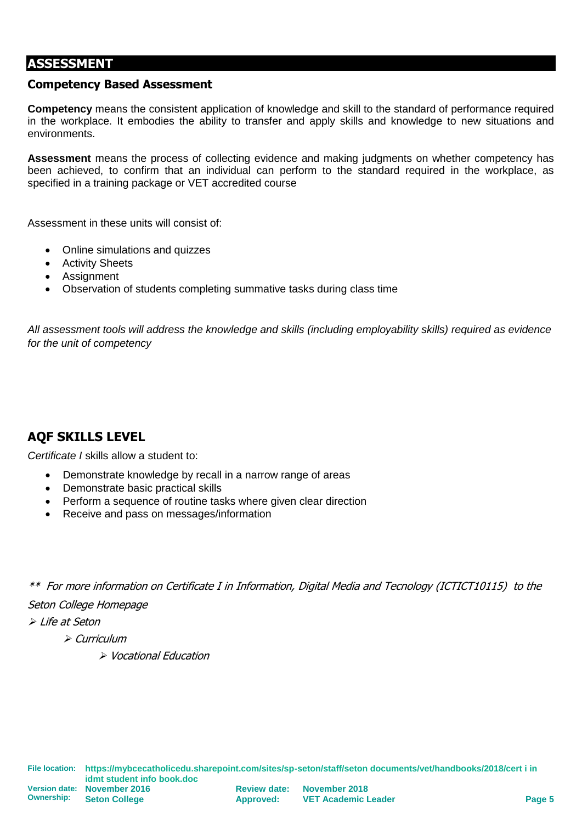## **ASSESSMENT**

#### **Competency Based Assessment**

**Competency** means the consistent application of knowledge and skill to the standard of performance required in the workplace. It embodies the ability to transfer and apply skills and knowledge to new situations and environments.

**Assessment** means the process of collecting evidence and making judgments on whether competency has been achieved, to confirm that an individual can perform to the standard required in the workplace, as specified in a training package or VET accredited course

Assessment in these units will consist of:

- Online simulations and quizzes
- Activity Sheets
- Assignment
- Observation of students completing summative tasks during class time

*All assessment tools will address the knowledge and skills (including employability skills) required as evidence for the unit of competency*

## **AQF SKILLS LEVEL**

*Certificate I* skills allow a student to:

- Demonstrate knowledge by recall in a narrow range of areas
- Demonstrate basic practical skills
- Perform a sequence of routine tasks where given clear direction
- Receive and pass on messages/information

\*\* For more information on Certificate I in Information, Digital Media and Tecnology (ICTICT10115) to the

Seton College Homepage

➢ Life at Seton

➢ Curriculum

➢ Vocational Education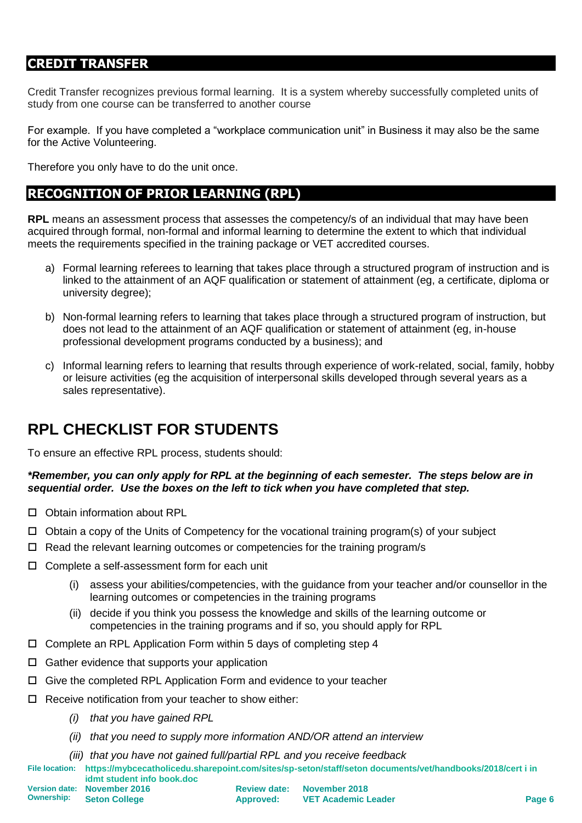## **CREDIT TRANSFER**

Credit Transfer recognizes previous formal learning. It is a system whereby successfully completed units of study from one course can be transferred to another course

For example. If you have completed a "workplace communication unit" in Business it may also be the same for the Active Volunteering.

Therefore you only have to do the unit once.

## **RECOGNITION OF PRIOR LEARNING (RPL)**

**RPL** means an assessment process that assesses the competency/s of an individual that may have been acquired through formal, non-formal and informal learning to determine the extent to which that individual meets the requirements specified in the training package or VET accredited courses.

- a) Formal learning referees to learning that takes place through a structured program of instruction and is linked to the attainment of an AQF qualification or statement of attainment (eg, a certificate, diploma or university degree);
- b) Non-formal learning refers to learning that takes place through a structured program of instruction, but does not lead to the attainment of an AQF qualification or statement of attainment (eg, in-house professional development programs conducted by a business); and
- c) Informal learning refers to learning that results through experience of work-related, social, family, hobby or leisure activities (eg the acquisition of interpersonal skills developed through several years as a sales representative).

## **RPL CHECKLIST FOR STUDENTS**

To ensure an effective RPL process, students should:

#### *\*Remember, you can only apply for RPL at the beginning of each semester. The steps below are in sequential order. Use the boxes on the left to tick when you have completed that step.*

- □ Obtain information about RPL
- $\Box$  Obtain a copy of the Units of Competency for the vocational training program(s) of your subject
- $\Box$  Read the relevant learning outcomes or competencies for the training program/s
- □ Complete a self-assessment form for each unit
	- (i) assess your abilities/competencies, with the guidance from your teacher and/or counsellor in the learning outcomes or competencies in the training programs
	- (ii) decide if you think you possess the knowledge and skills of the learning outcome or competencies in the training programs and if so, you should apply for RPL
- $\Box$  Complete an RPL Application Form within 5 days of completing step 4
- $\Box$  Gather evidence that supports your application
- $\Box$  Give the completed RPL Application Form and evidence to your teacher
- $\Box$  Receive notification from your teacher to show either:
	- *(i) that you have gained RPL*
	- *(ii) that you need to supply more information AND/OR attend an interview*
	- *(iii) that you have not gained full/partial RPL and you receive feedback*
- **File location: https://mybcecatholicedu.sharepoint.com/sites/sp-seton/staff/seton documents/vet/handbooks/2018/cert i in idmt student info book.doc**

**Ownership:**

**Version date: November 2016 Seton College**

| <b>Review date:</b> | November 2018              |
|---------------------|----------------------------|
| <b>Approved:</b>    | <b>VET Academic Leader</b> |